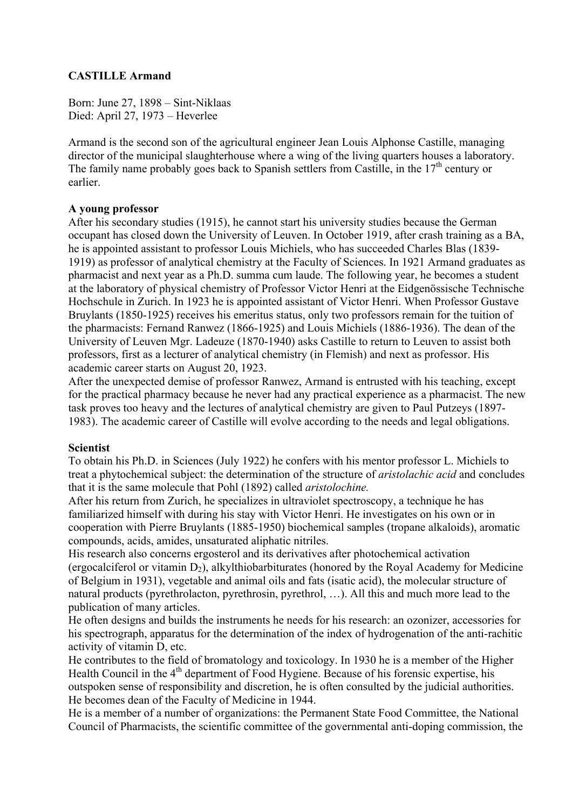## **CASTILLE Armand**

Born: June 27, 1898 – Sint-Niklaas Died: April 27, 1973 – Heverlee

Armand is the second son of the agricultural engineer Jean Louis Alphonse Castille, managing director of the municipal slaughterhouse where a wing of the living quarters houses a laboratory. The family name probably goes back to Spanish settlers from Castille, in the  $17<sup>th</sup>$  century or earlier.

## **A young professor**

After his secondary studies (1915), he cannot start his university studies because the German occupant has closed down the University of Leuven. In October 1919, after crash training as a BA, he is appointed assistant to professor Louis Michiels, who has succeeded Charles Blas (1839- 1919) as professor of analytical chemistry at the Faculty of Sciences. In 1921 Armand graduates as pharmacist and next year as a Ph.D. summa cum laude. The following year, he becomes a student at the laboratory of physical chemistry of Professor Victor Henri at the Eidgenössische Technische Hochschule in Zurich. In 1923 he is appointed assistant of Victor Henri. When Professor Gustave Bruylants (1850-1925) receives his emeritus status, only two professors remain for the tuition of the pharmacists: Fernand Ranwez (1866-1925) and Louis Michiels (1886-1936). The dean of the University of Leuven Mgr. Ladeuze (1870-1940) asks Castille to return to Leuven to assist both professors, first as a lecturer of analytical chemistry (in Flemish) and next as professor. His academic career starts on August 20, 1923.

After the unexpected demise of professor Ranwez, Armand is entrusted with his teaching, except for the practical pharmacy because he never had any practical experience as a pharmacist. The new task proves too heavy and the lectures of analytical chemistry are given to Paul Putzeys (1897- 1983). The academic career of Castille will evolve according to the needs and legal obligations.

## **Scientist**

To obtain his Ph.D. in Sciences (July 1922) he confers with his mentor professor L. Michiels to treat a phytochemical subject: the determination of the structure of *aristolachic acid* and concludes that it is the same molecule that Pohl (1892) called *aristolochine.*

After his return from Zurich, he specializes in ultraviolet spectroscopy, a technique he has familiarized himself with during his stay with Victor Henri. He investigates on his own or in cooperation with Pierre Bruylants (1885-1950) biochemical samples (tropane alkaloids), aromatic compounds, acids, amides, unsaturated aliphatic nitriles.

His research also concerns ergosterol and its derivatives after photochemical activation (ergocalciferol or vitamin  $D_2$ ), alkylthiobarbiturates (honored by the Royal Academy for Medicine of Belgium in 1931), vegetable and animal oils and fats (isatic acid), the molecular structure of natural products (pyrethrolacton, pyrethrosin, pyrethrol, …). All this and much more lead to the publication of many articles.

He often designs and builds the instruments he needs for his research: an ozonizer, accessories for his spectrograph, apparatus for the determination of the index of hydrogenation of the anti-rachitic activity of vitamin D, etc.

He contributes to the field of bromatology and toxicology. In 1930 he is a member of the Higher Health Council in the  $4<sup>th</sup>$  department of Food Hygiene. Because of his forensic expertise, his outspoken sense of responsibility and discretion, he is often consulted by the judicial authorities. He becomes dean of the Faculty of Medicine in 1944.

He is a member of a number of organizations: the Permanent State Food Committee, the National Council of Pharmacists, the scientific committee of the governmental anti-doping commission, the